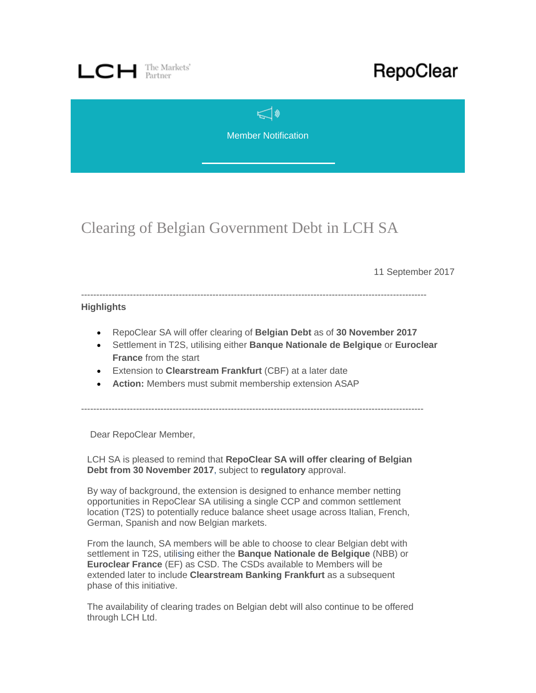

## RepoClear

 $\leq$ Member Notification

Clearing of Belgian Government Debt in LCH SA

11 September 2017

-----------------------------------------------------------------------------------------------------------------

## **Highlights**

- RepoClear SA will offer clearing of **Belgian Debt** as of **30 November 2017**
- Settlement in T2S, utilising either **Banque Nationale de Belgique** or **Euroclear France** from the start
- Extension to **Clearstream Frankfurt** (CBF) at a later date
- **Action:** Members must submit membership extension ASAP

----------------------------------------------------------------------------------------------------------------

Dear RepoClear Member,

LCH SA is pleased to remind that **RepoClear SA will offer clearing of Belgian Debt from 30 November 2017**, subject to **regulatory** approval.

By way of background, the extension is designed to enhance member netting opportunities in RepoClear SA utilising a single CCP and common settlement location (T2S) to potentially reduce balance sheet usage across Italian, French, German, Spanish and now Belgian markets.

From the launch, SA members will be able to choose to clear Belgian debt with settlement in T2S, utilising either the **Banque Nationale de Belgique** (NBB) or **Euroclear France** (EF) as CSD. The CSDs available to Members will be extended later to include **Clearstream Banking Frankfurt** as a subsequent phase of this initiative.

The availability of clearing trades on Belgian debt will also continue to be offered through LCH Ltd.